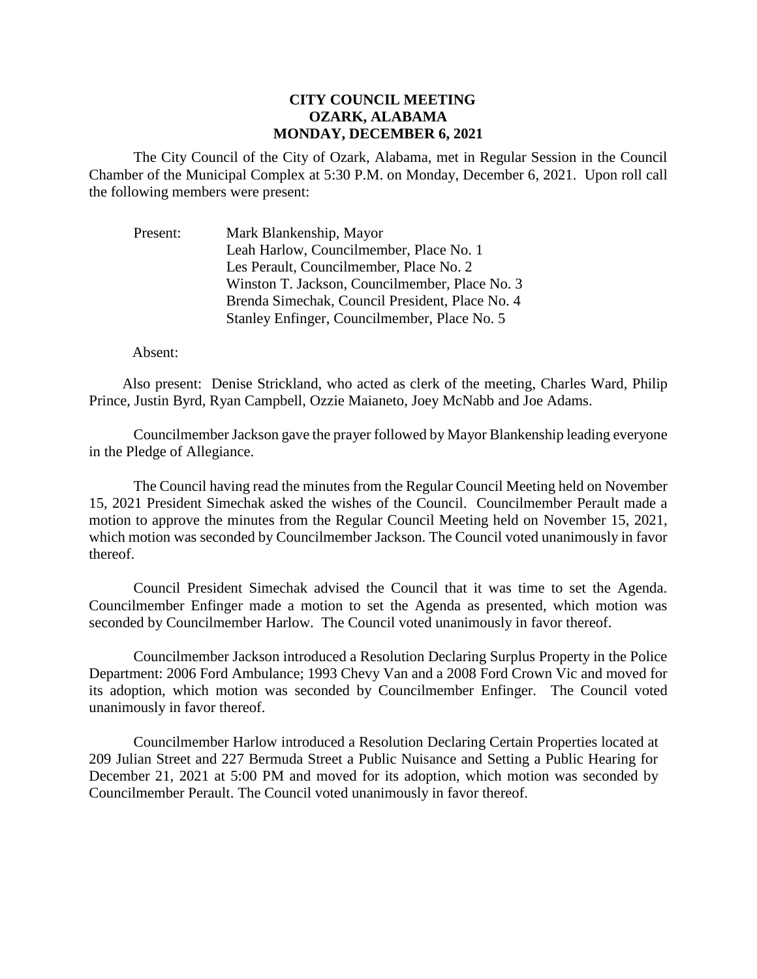## **CITY COUNCIL MEETING OZARK, ALABAMA MONDAY, DECEMBER 6, 2021**

The City Council of the City of Ozark, Alabama, met in Regular Session in the Council Chamber of the Municipal Complex at 5:30 P.M. on Monday, December 6, 2021. Upon roll call the following members were present:

Present: Mark Blankenship, Mayor Leah Harlow, Councilmember, Place No. 1 Les Perault, Councilmember, Place No. 2 Winston T. Jackson, Councilmember, Place No. 3 Brenda Simechak, Council President, Place No. 4 Stanley Enfinger, Councilmember, Place No. 5

## Absent:

Also present: Denise Strickland, who acted as clerk of the meeting, Charles Ward, Philip Prince, Justin Byrd, Ryan Campbell, Ozzie Maianeto, Joey McNabb and Joe Adams.

Councilmember Jackson gave the prayer followed by Mayor Blankenship leading everyone in the Pledge of Allegiance.

The Council having read the minutes from the Regular Council Meeting held on November 15, 2021 President Simechak asked the wishes of the Council. Councilmember Perault made a motion to approve the minutes from the Regular Council Meeting held on November 15, 2021, which motion was seconded by Councilmember Jackson. The Council voted unanimously in favor thereof.

Council President Simechak advised the Council that it was time to set the Agenda. Councilmember Enfinger made a motion to set the Agenda as presented, which motion was seconded by Councilmember Harlow. The Council voted unanimously in favor thereof.

Councilmember Jackson introduced a Resolution Declaring Surplus Property in the Police Department: 2006 Ford Ambulance; 1993 Chevy Van and a 2008 Ford Crown Vic and moved for its adoption, which motion was seconded by Councilmember Enfinger. The Council voted unanimously in favor thereof.

Councilmember Harlow introduced a Resolution Declaring Certain Properties located at 209 Julian Street and 227 Bermuda Street a Public Nuisance and Setting a Public Hearing for December 21, 2021 at 5:00 PM and moved for its adoption, which motion was seconded by Councilmember Perault. The Council voted unanimously in favor thereof.